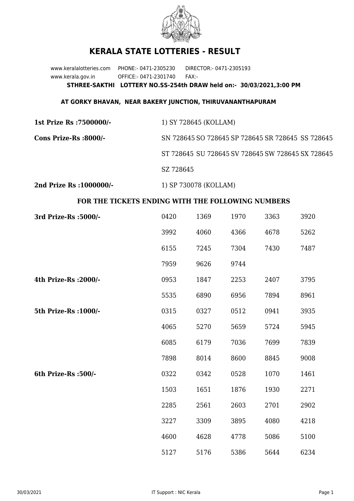

## **KERALA STATE LOTTERIES - RESULT**

www.keralalotteries.com PHONE:- 0471-2305230 DIRECTOR:- 0471-2305193 www.kerala.gov.in OFFICE:- 0471-2301740 FAX:- **STHREE-SAKTHI LOTTERY NO.SS-254th DRAW held on:- 30/03/2021,3:00 PM**

## **AT GORKY BHAVAN, NEAR BAKERY JUNCTION, THIRUVANANTHAPURAM**

| 1st Prize Rs : 7500000/- | 1) SY 728645 (KOLLAM)                             |
|--------------------------|---------------------------------------------------|
| Cons Prize-Rs :8000/-    | SN 728645 SO 728645 SP 728645 SR 728645 SS 728645 |
|                          | ST 728645 SU 728645 SV 728645 SW 728645 SX 728645 |
|                          | SZ 728645                                         |
| 2nd Prize Rs : 1000000/- | 1) SP 730078 (KOLLAM)                             |

## **FOR THE TICKETS ENDING WITH THE FOLLOWING NUMBERS**

| 3rd Prize-Rs : 5000/- | 0420 | 1369 | 1970 | 3363 | 3920 |
|-----------------------|------|------|------|------|------|
|                       | 3992 | 4060 | 4366 | 4678 | 5262 |
|                       | 6155 | 7245 | 7304 | 7430 | 7487 |
|                       | 7959 | 9626 | 9744 |      |      |
| 4th Prize-Rs : 2000/- | 0953 | 1847 | 2253 | 2407 | 3795 |
|                       | 5535 | 6890 | 6956 | 7894 | 8961 |
| 5th Prize-Rs : 1000/- | 0315 | 0327 | 0512 | 0941 | 3935 |
|                       | 4065 | 5270 | 5659 | 5724 | 5945 |
|                       | 6085 | 6179 | 7036 | 7699 | 7839 |
|                       | 7898 | 8014 | 8600 | 8845 | 9008 |
| 6th Prize-Rs :500/-   | 0322 | 0342 | 0528 | 1070 | 1461 |
|                       | 1503 | 1651 | 1876 | 1930 | 2271 |
|                       | 2285 | 2561 | 2603 | 2701 | 2902 |
|                       | 3227 | 3309 | 3895 | 4080 | 4218 |
|                       | 4600 | 4628 | 4778 | 5086 | 5100 |
|                       | 5127 | 5176 | 5386 | 5644 | 6234 |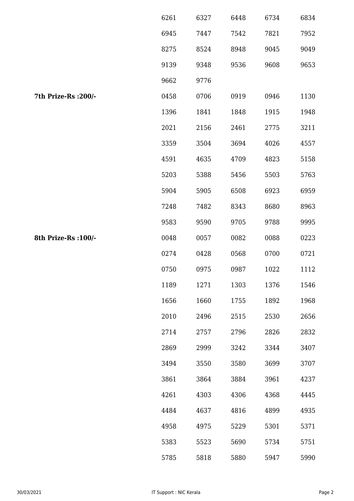|                      | 6261 | 6327 | 6448 | 6734 | 6834 |
|----------------------|------|------|------|------|------|
|                      | 6945 | 7447 | 7542 | 7821 | 7952 |
|                      | 8275 | 8524 | 8948 | 9045 | 9049 |
|                      | 9139 | 9348 | 9536 | 9608 | 9653 |
|                      | 9662 | 9776 |      |      |      |
| 7th Prize-Rs : 200/- | 0458 | 0706 | 0919 | 0946 | 1130 |
|                      | 1396 | 1841 | 1848 | 1915 | 1948 |
|                      | 2021 | 2156 | 2461 | 2775 | 3211 |
|                      | 3359 | 3504 | 3694 | 4026 | 4557 |
|                      | 4591 | 4635 | 4709 | 4823 | 5158 |
|                      | 5203 | 5388 | 5456 | 5503 | 5763 |
|                      | 5904 | 5905 | 6508 | 6923 | 6959 |
|                      | 7248 | 7482 | 8343 | 8680 | 8963 |
|                      | 9583 | 9590 | 9705 | 9788 | 9995 |
| 8th Prize-Rs : 100/- | 0048 | 0057 | 0082 | 0088 | 0223 |
|                      | 0274 | 0428 | 0568 | 0700 | 0721 |
|                      | 0750 | 0975 | 0987 | 1022 | 1112 |
|                      | 1189 | 1271 | 1303 | 1376 | 1546 |
|                      | 1656 | 1660 | 1755 | 1892 | 1968 |
|                      | 2010 | 2496 | 2515 | 2530 | 2656 |
|                      | 2714 | 2757 | 2796 | 2826 | 2832 |
|                      | 2869 | 2999 | 3242 | 3344 | 3407 |
|                      | 3494 | 3550 | 3580 | 3699 | 3707 |
|                      | 3861 | 3864 | 3884 | 3961 | 4237 |
|                      | 4261 | 4303 | 4306 | 4368 | 4445 |
|                      | 4484 | 4637 | 4816 | 4899 | 4935 |
|                      | 4958 | 4975 | 5229 | 5301 | 5371 |
|                      | 5383 | 5523 | 5690 | 5734 | 5751 |
|                      | 5785 | 5818 | 5880 | 5947 | 5990 |